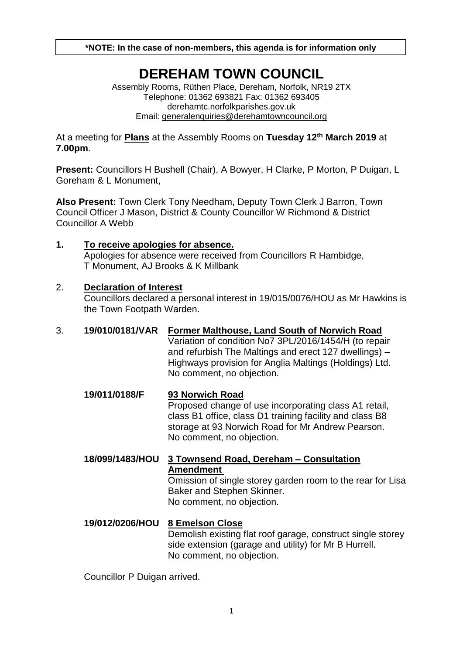**\*NOTE: In the case of non-members, this agenda is for information only**

## **DEREHAM TOWN COUNCIL**

Assembly Rooms, Rüthen Place, Dereham, Norfolk, NR19 2TX Telephone: 01362 693821 Fax: 01362 693405 derehamtc.norfolkparishes.gov.uk Email: [generalenquiries@derehamtowncouncil.org](mailto:generalenquiries@derehamtowncouncil.org)

At a meeting for **Plans** at the Assembly Rooms on **Tuesday 12th March 2019** at **7.00pm**.

**Present:** Councillors H Bushell (Chair), A Bowyer, H Clarke, P Morton, P Duigan, L Goreham & L Monument,

**Also Present:** Town Clerk Tony Needham, Deputy Town Clerk J Barron, Town Council Officer J Mason, District & County Councillor W Richmond & District Councillor A Webb

**1. To receive apologies for absence.**  Apologies for absence were received from Councillors R Hambidge, T Monument, AJ Brooks & K Millbank

#### 2. **Declaration of Interest**

Councillors declared a personal interest in 19/015/0076/HOU as Mr Hawkins is the Town Footpath Warden.

### 3. **19/010/0181/VAR Former Malthouse, Land South of Norwich Road**

Variation of condition No7 3PL/2016/1454/H (to repair and refurbish The Maltings and erect 127 dwellings) – Highways provision for Anglia Maltings (Holdings) Ltd. No comment, no objection.

- **19/011/0188/F 93 Norwich Road** Proposed change of use incorporating class A1 retail, class B1 office, class D1 training facility and class B8 storage at 93 Norwich Road for Mr Andrew Pearson. No comment, no objection.
- **18/099/1483/HOU 3 Townsend Road, Dereham – Consultation Amendment** Omission of single storey garden room to the rear for Lisa Baker and Stephen Skinner.

No comment, no objection.

**19/012/0206/HOU 8 Emelson Close** Demolish existing flat roof garage, construct single storey side extension (garage and utility) for Mr B Hurrell. No comment, no objection.

Councillor P Duigan arrived.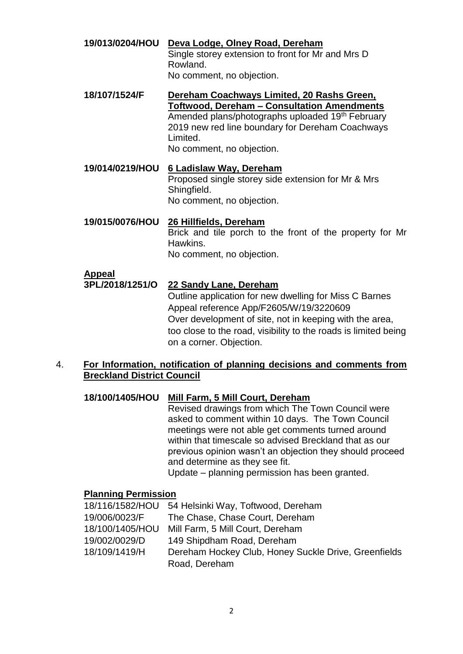**19/013/0204/HOU Deva Lodge, Olney Road, Dereham** Single storey extension to front for Mr and Mrs D Rowland. No comment, no objection. **18/107/1524/F Dereham Coachways Limited, 20 Rashs Green, Toftwood, Dereham – Consultation Amendments** Amended plans/photographs uploaded 19<sup>th</sup> February 2019 new red line boundary for Dereham Coachways Limited. No comment, no objection. **19/014/0219/HOU 6 Ladislaw Way, Dereham** Proposed single storey side extension for Mr & Mrs Shingfield. No comment, no objection. **19/015/0076/HOU 26 Hillfields, Dereham** Brick and tile porch to the front of the property for Mr **Hawkins** No comment, no objection. **Appeal 3PL/2018/1251/O 22 Sandy Lane, Dereham** Outline application for new dwelling for Miss C Barnes

Appeal reference App/F2605/W/19/3220609 Over development of site, not in keeping with the area, too close to the road, visibility to the roads is limited being on a corner. Objection.

#### 4. **For Information, notification of planning decisions and comments from Breckland District Council**

#### **18/100/1405/HOU Mill Farm, 5 Mill Court, Dereham**

Revised drawings from which The Town Council were asked to comment within 10 days. The Town Council meetings were not able get comments turned around within that timescale so advised Breckland that as our previous opinion wasn't an objection they should proceed and determine as they see fit.

Update – planning permission has been granted.

#### **Planning Permission**

|                 | 18/116/1582/HOU 54 Helsinki Way, Toftwood, Dereham   |
|-----------------|------------------------------------------------------|
| 19/006/0023/F   | The Chase, Chase Court, Dereham                      |
| 18/100/1405/HOU | Mill Farm, 5 Mill Court, Dereham                     |
| 19/002/0029/D   | 149 Shipdham Road, Dereham                           |
| 18/109/1419/H   | Dereham Hockey Club, Honey Suckle Drive, Greenfields |
|                 | Road, Dereham                                        |